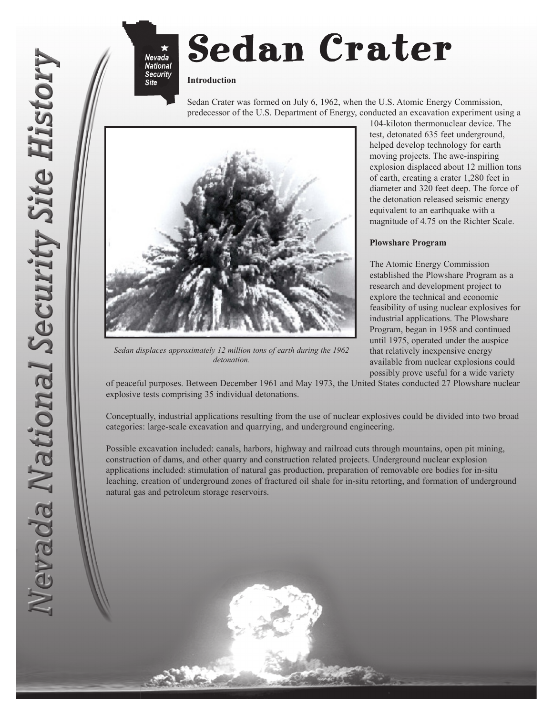## **Sedan Crater**

## **Introduction**

**Nevada** 

**National Security Site** 

> Sedan Crater was formed on July 6, 1962, when the U.S. Atomic Energy Commission, predecessor of the U.S. Department of Energy, conducted an excavation experiment using a



*Sedan displaces approximately 12 million tons of earth during the 1962 detonation.*

104-kiloton thermonuclear device. The test, detonated 635 feet underground, helped develop technology for earth moving projects. The awe-inspiring explosion displaced about 12 million tons of earth, creating a crater 1,280 feet in diameter and 320 feet deep. The force of the detonation released seismic energy equivalent to an earthquake with a magnitude of 4.75 on the Richter Scale.

## **Plowshare Program**

The Atomic Energy Commission established the Plowshare Program as a research and development project to explore the technical and economic feasibility of using nuclear explosives for industrial applications. The Plowshare Program, began in 1958 and continued until 1975, operated under the auspice that relatively inexpensive energy available from nuclear explosions could possibly prove useful for a wide variety

of peaceful purposes. Between December 1961 and May 1973, the United States conducted 27 Plowshare nuclear explosive tests comprising 35 individual detonations.

Conceptually, industrial applications resulting from the use of nuclear explosives could be divided into two broad categories: large-scale excavation and quarrying, and underground engineering.

Possible excavation included: canals, harbors, highway and railroad cuts through mountains, open pit mining, construction of dams, and other quarry and construction related projects. Underground nuclear explosion applications included: stimulation of natural gas production, preparation of removable ore bodies for in-situ leaching, creation of underground zones of fractured oil shale for in-situ retorting, and formation of underground natural gas and petroleum storage reservoirs.